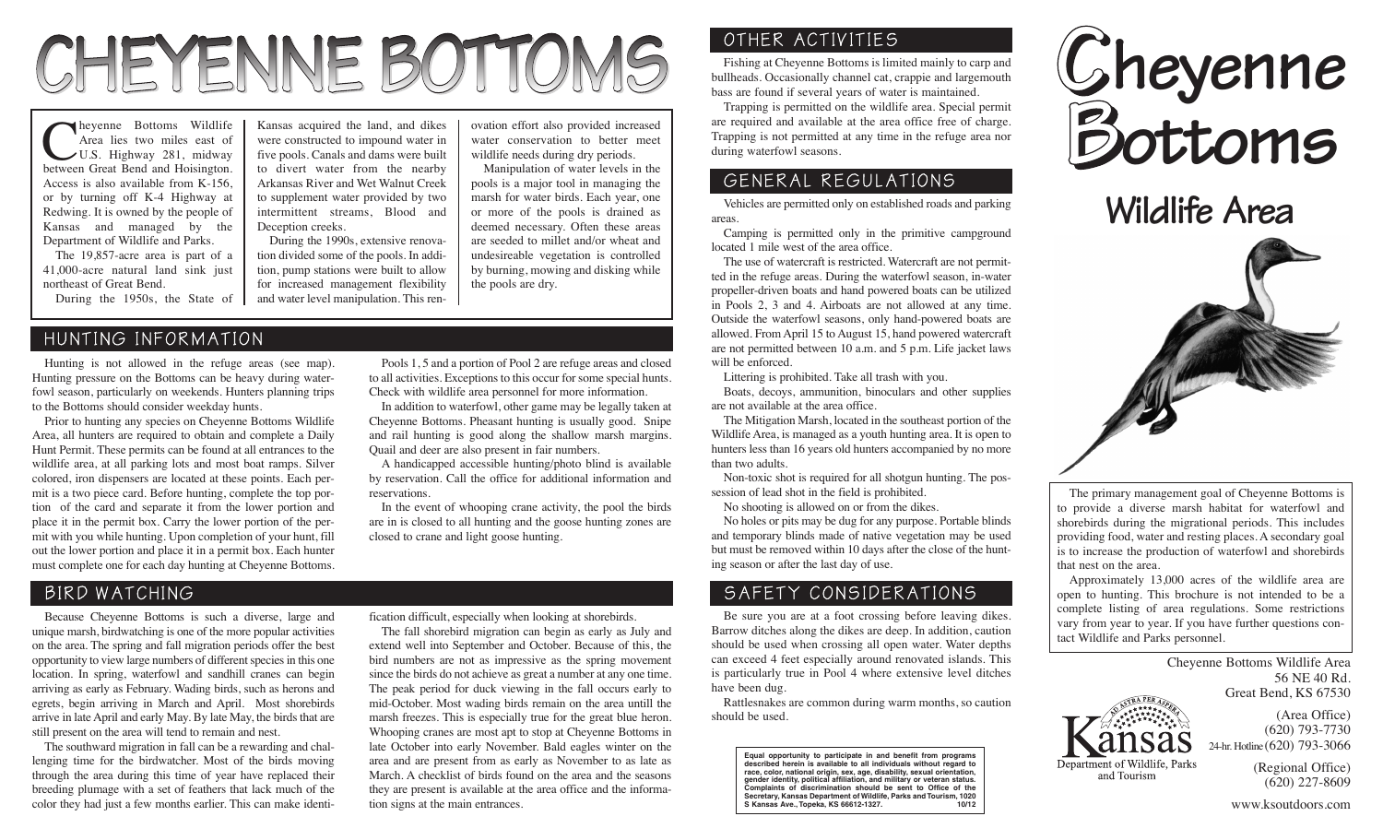# CHEYENNE BOTTOMS

heyenne Bottoms Wildlife Area lies two miles east of U.S. Highway 281, midway between Great Bend and Hoisington. Access is also available from K-156, or by turning off K-4 Highway at Redwing. It is owned by the people of Kansas and managed by the Department of Wildlife and Parks.

The 19,857-acre area is part of a 41,000-acre natural land sink just northeast of Great Bend.

During the 1950s, the State of

### HUNTING INFORMATION

Hunting is not allowed in the refuge areas (see map). Hunting pressure on the Bottoms can be heavy during waterfowl season, particularly on weekends. Hunters planning trips to the Bottoms should consider weekday hunts.

Prior to hunting any species on Cheyenne Bottoms Wildlife Area, all hunters are required to obtain and complete a Daily Hunt Permit. These permits can be found at all entrances to the wildlife area, at all parking lots and most boat ramps. Silver colored, iron dispensers are located at these points. Each permit is a two piece card. Before hunting, complete the top portion of the card and separate it from the lower portion and place it in the permit box. Carry the lower portion of the permit with you while hunting. Upon completion of your hunt, fill out the lower portion and place it in a permit box. Each hunter must complete one for each day hunting at Cheyenne Bottoms.

BIRD WATCHING

Because Cheyenne Bottoms is such a diverse, large and unique marsh, birdwatching is one of the more popular activities on the area. The spring and fall migration periods offer the best opportunity to view large numbers of different species in this one location. In spring, waterfowl and sandhill cranes can begin arriving as early as February. Wading birds, such as herons and egrets, begin arriving in March and April. Most shorebirds arrive in late April and early May. By late May, the birds that are still present on the area will tend to remain and nest.

The southward migration in fall can be a rewarding and challenging time for the birdwatcher. Most of the birds moving through the area during this time of year have replaced their breeding plumage with a set of feathers that lack much of the color they had just a few months earlier. This can make identi-

Kansas acquired the land, and dikes were constructed to impound water in five pools. Canals and dams were built to divert water from the nearby Arkansas River and Wet Walnut Creek to supplement water provided by two intermittent streams, Blood and Deception creeks.

During the 1990s, extensive renovation divided some of the pools. In addition, pump stations were built to allow for increased management flexibility and water level manipulation. This ren-

reservations.

ovation effort also provided increased water conservation to better meet wildlife needs during dry periods.

Manipulation of water levels in the pools is a major tool in managing the marsh for water birds. Each year, one or more of the pools is drained as deemed necessary. Often these areas are seeded to millet and/or wheat and undesireable vegetation is controlled by burning, mowing and disking while the pools are dry.

## OTHER ACTIVITIES

Fishing at Cheyenne Bottoms is limited mainly to carp and bullheads. Occasionally channel cat, crappie and largemouth bass are found if several years of water is maintained.

Trapping is permitted on the wildlife area. Special permit are required and available at the area office free of charge. Trapping is not permitted at any time in the refuge area nor during waterfowl seasons.

## GENERAL REGULATIONS

Vehicles are permitted only on established roads and parking areas.

Camping is permitted only in the primitive campground located 1 mile west of the area office.

The use of watercraft is restricted. Watercraft are not permitted in the refuge areas. During the waterfowl season, in-water propeller-driven boats and hand powered boats can be utilized in Pools 2, 3 and 4. Airboats are not allowed at any time. Outside the waterfowl seasons, only hand-powered boats are allowed. From April 15 to August 15, hand powered watercraft are not permitted between 10 a.m. and 5 p.m. Life jacket laws will be enforced.

Littering is prohibited. Take all trash with you.

Boats, decoys, ammunition, binoculars and other supplies are not available at the area office.

The Mitigation Marsh, located in the southeast portion of the Wildlife Area, is managed as a youth hunting area. It is open to hunters less than 16 years old hunters accompanied by no more than two adults.

Non-toxic shot is required for all shotgun hunting. The possession of lead shot in the field is prohibited.

No shooting is allowed on or from the dikes.

No holes or pits may be dug for any purpose. Portable blinds and temporary blinds made of native vegetation may be used but must be removed within 10 days after the close of the hunting season or after the last day of use.

### SAFETY CONSIDERATIONS

Be sure you are at a foot crossing before leaving dikes. Barrow ditches along the dikes are deep. In addition, caution should be used when crossing all open water. Water depths can exceed 4 feet especially around renovated islands. This is particularly true in Pool 4 where extensive level ditches have been dug.

Rattlesnakes are common during warm months, so caution should be used.

**Equal opportunity to participate in and benefit from programs described herein is available to all individuals without regard to race, color, national origin, sex, age, disability, sexual orientation, gender identity, political affiliation, and military or veteran status. Complaints of discrimination should be sent to Office of the Secretary, Kansas Department of Wildlife, Parks and Tourism, 1020 S Kansas Ave., Topeka, KS 66612-1327. 10/12**



**Wildlife Area**



The primary management goal of Cheyenne Bottoms is to provide a diverse marsh habitat for waterfowl and shorebirds during the migrational periods. This includes providing food, water and resting places. A secondary goal is to increase the production of waterfowl and shorebirds that nest on the area.

Approximately 13,000 acres of the wildlife area are open to hunting. This brochure is not intended to be a complete listing of area regulations. Some restrictions vary from year to year. If you have further questions contact Wildlife and Parks personnel.

> Cheyenne Bottoms Wildlife Area 56 NE 40 Rd. Great Bend, KS 67530



(Area Office) (620) 793-7730 24-hr. Hotline(620) 793-3066

(Regional Office) and Tourism

(620) 227-8609

Pools 1, 5 and a portion of Pool 2 are refuge areas and closed to all activities. Exceptions to this occur for some special hunts. Check with wildlife area personnel for more information. In addition to waterfowl, other game may be legally taken at Cheyenne Bottoms. Pheasant hunting is usually good. Snipe and rail hunting is good along the shallow marsh margins.

A handicapped accessible hunting/photo blind is available by reservation. Call the office for additional information and

In the event of whooping crane activity, the pool the birds are in is closed to all hunting and the goose hunting zones are

fication difficult, especially when looking at shorebirds.

Quail and deer are also present in fair numbers.

closed to crane and light goose hunting.

The fall shorebird migration can begin as early as July and extend well into September and October. Because of this, the bird numbers are not as impressive as the spring movement since the birds do not achieve as great a number at any one time. The peak period for duck viewing in the fall occurs early to mid-October. Most wading birds remain on the area untill the marsh freezes. This is especially true for the great blue heron. Whooping cranes are most apt to stop at Cheyenne Bottoms in late October into early November. Bald eagles winter on the area and are present from as early as November to as late as March. A checklist of birds found on the area and the seasons they are present is available at the area office and the information signs at the main entrances.